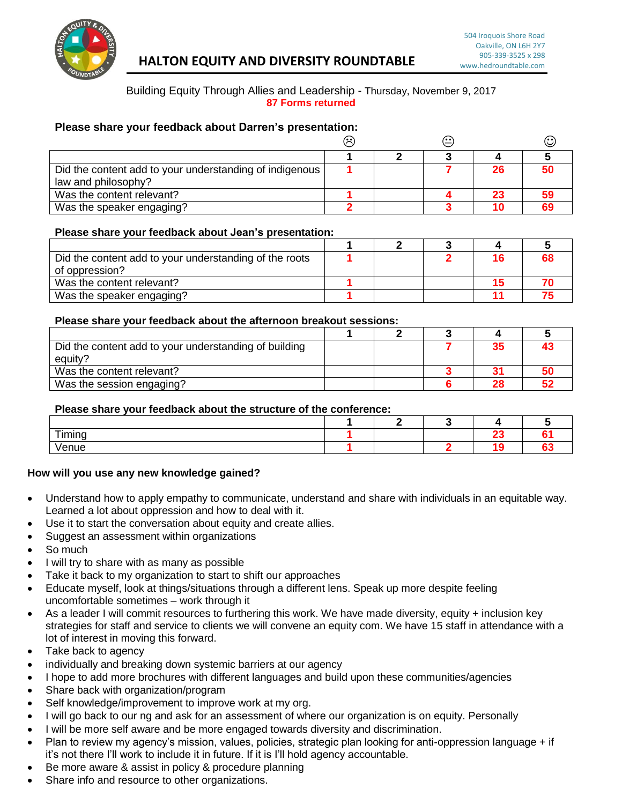

Building Equity Through Allies and Leadership - Thursday, November 9, 2017 **87 Forms returned**

### **Please share your feedback about Darren's presentation:**

|                                                                                | に |  |    |  |
|--------------------------------------------------------------------------------|---|--|----|--|
|                                                                                |   |  |    |  |
| Did the content add to your understanding of indigenous<br>law and philosophy? |   |  | 26 |  |
| Was the content relevant?                                                      |   |  | 23 |  |
| Was the speaker engaging?                                                      |   |  |    |  |

## **Please share your feedback about Jean's presentation:**

| Did the content add to your understanding of the roots |  |  |  |
|--------------------------------------------------------|--|--|--|
| of oppression?                                         |  |  |  |
| Was the content relevant?                              |  |  |  |
| Was the speaker engaging?                              |  |  |  |

#### **Please share your feedback about the afternoon breakout sessions:**

| Did the content add to your understanding of building |  | 35 |  |
|-------------------------------------------------------|--|----|--|
| equity?                                               |  |    |  |
| Was the content relevant?                             |  |    |  |
| Was the session engaging?                             |  |    |  |

#### **Please share your feedback about the structure of the conference:**

| $T_{\text{initial}}$<br>,,,,,, |  |  |  |
|--------------------------------|--|--|--|
| 100110                         |  |  |  |

#### **How will you use any new knowledge gained?**

- Understand how to apply empathy to communicate, understand and share with individuals in an equitable way. Learned a lot about oppression and how to deal with it.
- Use it to start the conversation about equity and create allies.
- Suggest an assessment within organizations
- So much
- I will try to share with as many as possible
- Take it back to my organization to start to shift our approaches
- Educate myself, look at things/situations through a different lens. Speak up more despite feeling uncomfortable sometimes – work through it
- As a leader I will commit resources to furthering this work. We have made diversity, equity + inclusion key strategies for staff and service to clients we will convene an equity com. We have 15 staff in attendance with a lot of interest in moving this forward.
- Take back to agency
- individually and breaking down systemic barriers at our agency
- I hope to add more brochures with different languages and build upon these communities/agencies
- Share back with organization/program
- Self knowledge/improvement to improve work at my org.
- I will go back to our ng and ask for an assessment of where our organization is on equity. Personally
- I will be more self aware and be more engaged towards diversity and discrimination.
- Plan to review my agency's mission, values, policies, strategic plan looking for anti-oppression language + if it's not there I'll work to include it in future. If it is I'll hold agency accountable.
- Be more aware & assist in policy & procedure planning
- Share info and resource to other organizations.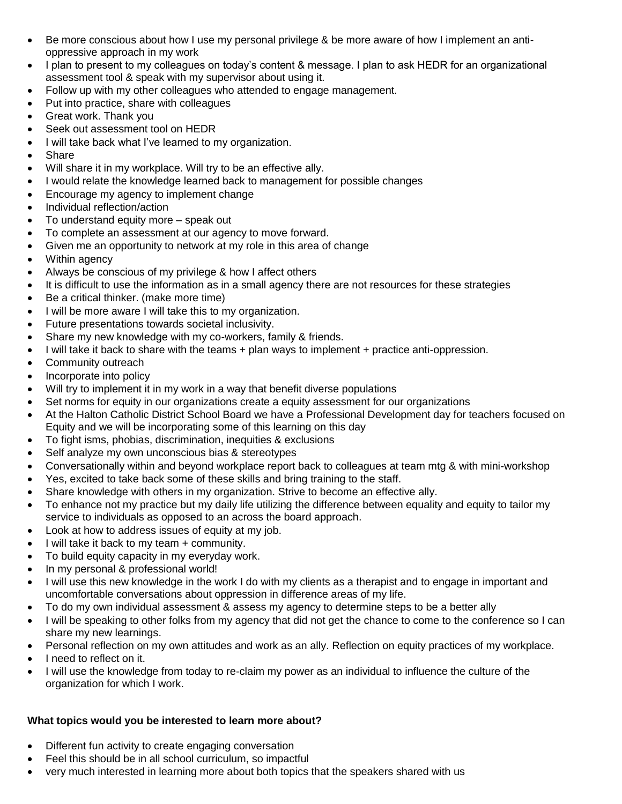- Be more conscious about how I use my personal privilege & be more aware of how I implement an antioppressive approach in my work
- I plan to present to my colleagues on today's content & message. I plan to ask HEDR for an organizational assessment tool & speak with my supervisor about using it.
- Follow up with my other colleagues who attended to engage management.
- Put into practice, share with colleagues
- Great work. Thank you
- Seek out assessment tool on HEDR
- I will take back what I've learned to my organization.
- Share
- Will share it in my workplace. Will try to be an effective ally.
- I would relate the knowledge learned back to management for possible changes
- Encourage my agency to implement change
- Individual reflection/action
- To understand equity more speak out
- To complete an assessment at our agency to move forward.
- Given me an opportunity to network at my role in this area of change
- Within agency
- Always be conscious of my privilege & how I affect others
- It is difficult to use the information as in a small agency there are not resources for these strategies
- Be a critical thinker. (make more time)
- I will be more aware I will take this to my organization.
- Future presentations towards societal inclusivity.
- Share my new knowledge with my co-workers, family & friends.
- $\bullet$  I will take it back to share with the teams  $+$  plan ways to implement  $+$  practice anti-oppression.
- Community outreach
- Incorporate into policy
- Will try to implement it in my work in a way that benefit diverse populations
- Set norms for equity in our organizations create a equity assessment for our organizations
- At the Halton Catholic District School Board we have a Professional Development day for teachers focused on Equity and we will be incorporating some of this learning on this day
- To fight isms, phobias, discrimination, inequities & exclusions
- Self analyze my own unconscious bias & stereotypes
- Conversationally within and beyond workplace report back to colleagues at team mtg & with mini-workshop
- Yes, excited to take back some of these skills and bring training to the staff.
- Share knowledge with others in my organization. Strive to become an effective ally.
- To enhance not my practice but my daily life utilizing the difference between equality and equity to tailor my service to individuals as opposed to an across the board approach.
- Look at how to address issues of equity at my job.
- $\bullet$  I will take it back to my team  $+$  community.
- To build equity capacity in my everyday work.
- In my personal & professional world!
- I will use this new knowledge in the work I do with my clients as a therapist and to engage in important and uncomfortable conversations about oppression in difference areas of my life.
- To do my own individual assessment & assess my agency to determine steps to be a better ally
- I will be speaking to other folks from my agency that did not get the chance to come to the conference so I can share my new learnings.
- Personal reflection on my own attitudes and work as an ally. Reflection on equity practices of my workplace.
- I need to reflect on it.
- I will use the knowledge from today to re-claim my power as an individual to influence the culture of the organization for which I work.

# **What topics would you be interested to learn more about?**

- Different fun activity to create engaging conversation
- Feel this should be in all school curriculum, so impactful
- very much interested in learning more about both topics that the speakers shared with us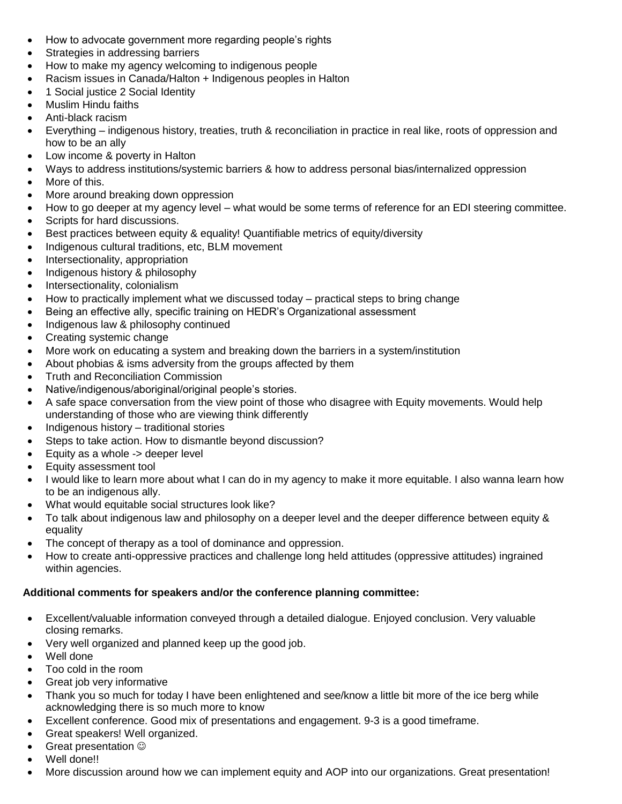- How to advocate government more regarding people's rights
- Strategies in addressing barriers
- How to make my agency welcoming to indigenous people
- Racism issues in Canada/Halton + Indigenous peoples in Halton
- 1 Social justice 2 Social Identity
- Muslim Hindu faiths
- Anti-black racism
- Everything indigenous history, treaties, truth & reconciliation in practice in real like, roots of oppression and how to be an ally
- Low income & poverty in Halton
- Ways to address institutions/systemic barriers & how to address personal bias/internalized oppression
- More of this.
- More around breaking down oppression
- How to go deeper at my agency level what would be some terms of reference for an EDI steering committee.
- Scripts for hard discussions.
- Best practices between equity & equality! Quantifiable metrics of equity/diversity
- Indigenous cultural traditions, etc, BLM movement
- Intersectionality, appropriation
- Indigenous history & philosophy
- Intersectionality, colonialism
- How to practically implement what we discussed today practical steps to bring change
- Being an effective ally, specific training on HEDR's Organizational assessment
- Indigenous law & philosophy continued
- Creating systemic change
- More work on educating a system and breaking down the barriers in a system/institution
- About phobias & isms adversity from the groups affected by them
- Truth and Reconciliation Commission
- Native/indigenous/aboriginal/original people's stories.
- A safe space conversation from the view point of those who disagree with Equity movements. Would help understanding of those who are viewing think differently
- $\bullet$  Indigenous history traditional stories
- Steps to take action. How to dismantle beyond discussion?
- Equity as a whole -> deeper level
- Equity assessment tool
- I would like to learn more about what I can do in my agency to make it more equitable. I also wanna learn how to be an indigenous ally.
- What would equitable social structures look like?
- To talk about indigenous law and philosophy on a deeper level and the deeper difference between equity & equality
- The concept of therapy as a tool of dominance and oppression.
- How to create anti-oppressive practices and challenge long held attitudes (oppressive attitudes) ingrained within agencies.

#### **Additional comments for speakers and/or the conference planning committee:**

- Excellent/valuable information conveyed through a detailed dialogue. Enjoyed conclusion. Very valuable closing remarks.
- Very well organized and planned keep up the good job.
- Well done
- Too cold in the room
- Great job very informative
- Thank you so much for today I have been enlightened and see/know a little bit more of the ice berg while acknowledging there is so much more to know
- Excellent conference. Good mix of presentations and engagement. 9-3 is a good timeframe.
- Great speakers! Well organized.
- Great presentation  $\odot$
- Well done!!
- More discussion around how we can implement equity and AOP into our organizations. Great presentation!